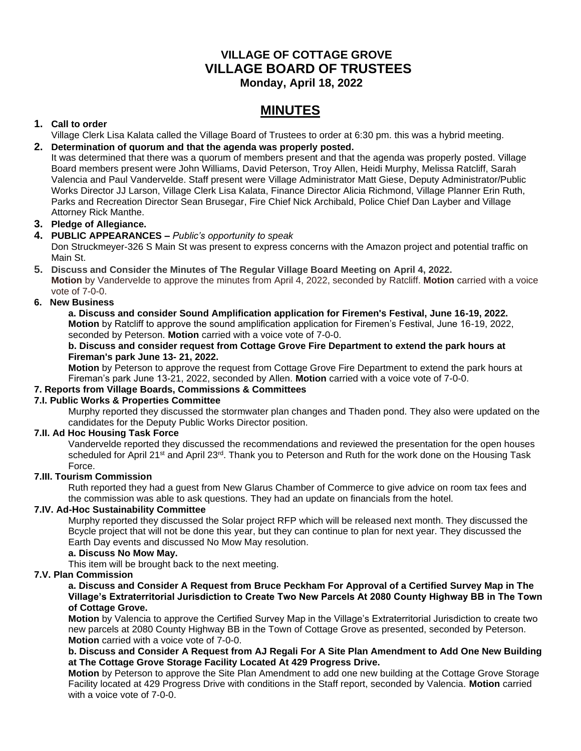# **VILLAGE OF COTTAGE GROVE VILLAGE BOARD OF TRUSTEES Monday, April 18, 2022**

# **MINUTES**

# **1. Call to order**

Village Clerk Lisa Kalata called the Village Board of Trustees to order at 6:30 pm. this was a hybrid meeting.

# **2. Determination of quorum and that the agenda was properly posted.**

It was determined that there was a quorum of members present and that the agenda was properly posted. Village Board members present were John Williams, David Peterson, Troy Allen, Heidi Murphy, Melissa Ratcliff, Sarah Valencia and Paul Vandervelde. Staff present were Village Administrator Matt Giese, Deputy Administrator/Public Works Director JJ Larson, Village Clerk Lisa Kalata, Finance Director Alicia Richmond, Village Planner Erin Ruth, Parks and Recreation Director Sean Brusegar, Fire Chief Nick Archibald, Police Chief Dan Layber and Village Attorney Rick Manthe.

# **3. Pledge of Allegiance.**

# **4. PUBLIC APPEARANCES –** *Public's opportunity to speak*

Don Struckmeyer-326 S Main St was present to express concerns with the Amazon project and potential traffic on Main St.

## **5. Discuss and Consider the Minutes of The Regular Village Board Meeting on April 4, 2022.**

**Motion** by Vandervelde to approve the minutes from April 4, 2022, seconded by Ratcliff. **Motion** carried with a voice vote of 7-0-0.

# **6. New Business**

**a. Discuss and consider Sound Amplification application for Firemen's Festival, June 16-19, 2022. Motion** by Ratcliff to approve the sound amplification application for Firemen's Festival, June 16-19, 2022, seconded by Peterson. **Motion** carried with a voice vote of 7-0-0.

## **b. Discuss and consider request from Cottage Grove Fire Department to extend the park hours at Fireman's park June 13- 21, 2022.**

**Motion** by Peterson to approve the request from Cottage Grove Fire Department to extend the park hours at Fireman's park June 13-21, 2022, seconded by Allen. **Motion** carried with a voice vote of 7-0-0.

## **7. Reports from Village Boards, Commissions & Committees**

## **7.I. Public Works & Properties Committee**

Murphy reported they discussed the stormwater plan changes and Thaden pond. They also were updated on the candidates for the Deputy Public Works Director position.

## **7.II. Ad Hoc Housing Task Force**

Vandervelde reported they discussed the recommendations and reviewed the presentation for the open houses scheduled for April 21<sup>st</sup> and April 23<sup>rd</sup>. Thank you to Peterson and Ruth for the work done on the Housing Task Force.

## **7.III. Tourism Commission**

Ruth reported they had a guest from New Glarus Chamber of Commerce to give advice on room tax fees and the commission was able to ask questions. They had an update on financials from the hotel.

## **7.IV. Ad-Hoc Sustainability Committee**

Murphy reported they discussed the Solar project RFP which will be released next month. They discussed the Bcycle project that will not be done this year, but they can continue to plan for next year. They discussed the Earth Day events and discussed No Mow May resolution.

## **a. Discuss No Mow May.**

This item will be brought back to the next meeting.

## **7.V. Plan Commission**

**a. Discuss and Consider A Request from Bruce Peckham For Approval of a Certified Survey Map in The Village's Extraterritorial Jurisdiction to Create Two New Parcels At 2080 County Highway BB in The Town of Cottage Grove.**

**Motion** by Valencia to approve the Certified Survey Map in the Village's Extraterritorial Jurisdiction to create two new parcels at 2080 County Highway BB in the Town of Cottage Grove as presented, seconded by Peterson. **Motion** carried with a voice vote of 7-0-0.

## **b. Discuss and Consider A Request from AJ Regali For A Site Plan Amendment to Add One New Building at The Cottage Grove Storage Facility Located At 429 Progress Drive.**

**Motion** by Peterson to approve the Site Plan Amendment to add one new building at the Cottage Grove Storage Facility located at 429 Progress Drive with conditions in the Staff report, seconded by Valencia. **Motion** carried with a voice vote of 7-0-0.